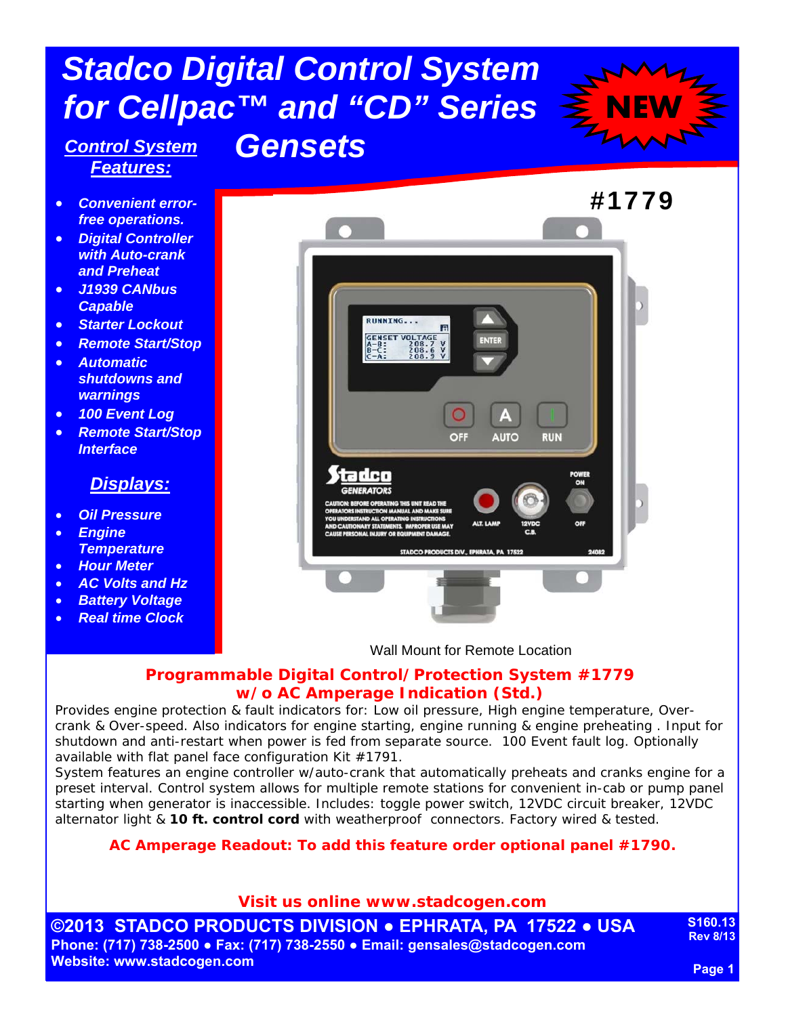# *Stadco Digital Control System for Cellpac™ and "CD" Series*

*Gensets* 



## *Control System Features:*

- *Convenient errorfree operations.*
- *Digital Controller with Auto-crank and Preheat*
- *J1939 CANbus Capable*
- *Starter Lockout*
- *Remote Start/Stop*
- *Automatic shutdowns and warnings*
- *100 Event Log*
- *Remote Start/Stop Interface*

### *Displays:*

- *Oil Pressure*
- *Engine Temperature*
- *Hour Meter*
- *AC Volts and Hz*
- *Battery Voltage*
- *Real time Clock*



Wall Mount for Remote Location

#### **Programmable Digital Control/Protection System #1779 w/o AC Amperage Indication (Std.)**

Provides engine protection & fault indicators for: Low oil pressure, High engine temperature, Overcrank & Over-speed. Also indicators for engine starting, engine running & engine preheating . Input for shutdown and anti-restart when power is fed from separate source. 100 Event fault log. Optionally available with flat panel face configuration Kit #1791.

System features an engine controller w/auto-crank that automatically preheats and cranks engine for a preset interval. Control system allows for multiple remote stations for convenient in-cab or pump panel starting when generator is inaccessible. Includes: toggle power switch, 12VDC circuit breaker, 12VDC alternator light & *10 ft. control cord* with weatherproof connectors. Factory wired & tested.

#### **AC Amperage Readout: To add this feature order optional panel #1790.**

**Visit us online www.stadcogen.com** 

**©2013 STADCO PRODUCTS DIVISION ● EPHRATA, PA 17522 ● USA Phone: (717) 738-2500 ● Fax: (717) 738-2550 ● Email: gensales@stadcogen.com Website: www.stadcogen.com** 

**S160.13 Rev 8/13**